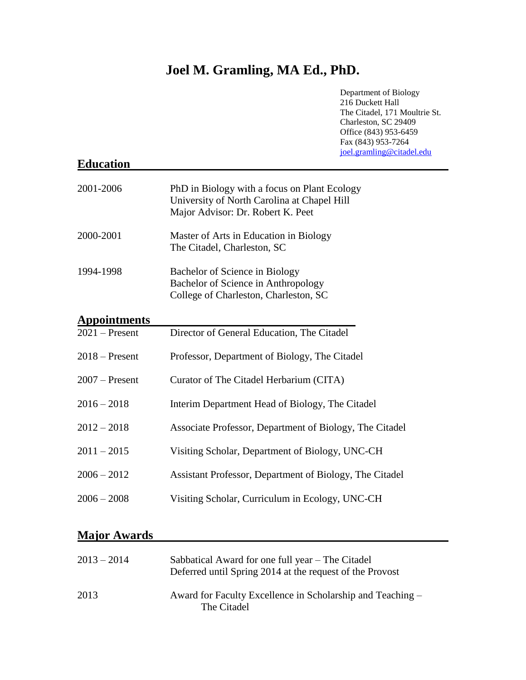# **Joel M. Gramling, MA Ed., PhD.**

| <b>Education</b>    | Department of Biology<br>216 Duckett Hall<br>The Citadel, 171 Moultrie St.<br>Charleston, SC 29409<br>Office (843) 953-6459<br>Fax (843) 953-7264<br>joel.gramling@citadel.edu |
|---------------------|--------------------------------------------------------------------------------------------------------------------------------------------------------------------------------|
| 2001-2006           | PhD in Biology with a focus on Plant Ecology<br>University of North Carolina at Chapel Hill<br>Major Advisor: Dr. Robert K. Peet                                               |
| 2000-2001           | Master of Arts in Education in Biology<br>The Citadel, Charleston, SC                                                                                                          |
| 1994-1998           | Bachelor of Science in Biology<br>Bachelor of Science in Anthropology<br>College of Charleston, Charleston, SC                                                                 |
| <b>Appointments</b> |                                                                                                                                                                                |
| $2021$ – Present    | Director of General Education, The Citadel                                                                                                                                     |
| $2018 -$ Present    | Professor, Department of Biology, The Citadel                                                                                                                                  |
| $2007$ – Present    | Curator of The Citadel Herbarium (CITA)                                                                                                                                        |
| $2016 - 2018$       | Interim Department Head of Biology, The Citadel                                                                                                                                |
| $2012 - 2018$       | Associate Professor, Department of Biology, The Citadel                                                                                                                        |
| $2011 - 2015$       | Visiting Scholar, Department of Biology, UNC-CH                                                                                                                                |
| $2006 - 2012$       | Assistant Professor, Department of Biology, The Citadel                                                                                                                        |
| $2006 - 2008$       | Visiting Scholar, Curriculum in Ecology, UNC-CH                                                                                                                                |
| <b>Major Awards</b> |                                                                                                                                                                                |

# 2013 – 2014 Sabbatical Award for one full year – The Citadel Deferred until Spring 2014 at the request of the Provost 2013 Award for Faculty Excellence in Scholarship and Teaching – The Citadel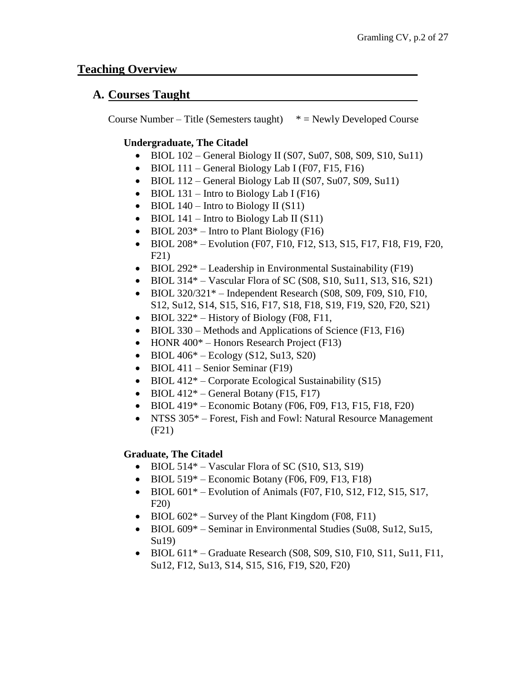#### **Teaching Overview**

#### **A. Courses Taught**

Course Number – Title (Semesters taught)  $*$  = Newly Developed Course

#### **Undergraduate, The Citadel**

- BIOL  $102$  General Biology II (S07, Su07, S08, S09, S10, Su11)
- BIOL  $111$  General Biology Lab I (F07, F15, F16)
- BIOL  $112$  General Biology Lab II (S07, Su07, S09, Su11)
- BIOL  $131$  Intro to Biology Lab I (F16)
- BIOL  $140$  Intro to Biology II (S11)
- BIOL  $141$  Intro to Biology Lab II (S11)
- BIOL  $203^*$  Intro to Plant Biology (F16)
- BIOL  $208^*$  Evolution (F07, F10, F12, S13, S15, F17, F18, F19, F20, F21)
- BIOL  $292^*$  Leadership in Environmental Sustainability (F19)
- BIOL 314 $*$  Vascular Flora of SC (S08, S10, Su11, S13, S16, S21)
- BIOL  $320/321^*$  Independent Research (S08, S09, F09, S10, F10, S12, Su12, S14, S15, S16, F17, S18, F18, S19, F19, S20, F20, S21)
- BIOL  $322^*$  History of Biology (F08, F11,
- BIOL 330 Methods and Applications of Science (F13, F16)
- HONR  $400^*$  Honors Research Project (F13)
- BIOL  $406^*$  Ecology (S12, Su13, S20)
- BIOL 411 Senior Seminar (F19)
- BIOL  $412^*$  Corporate Ecological Sustainability (S15)
- BIOL  $412^*$  General Botany (F15, F17)
- BIOL  $419*$  Economic Botany (F06, F09, F13, F15, F18, F20)
- NTSS 305<sup>\*</sup> Forest, Fish and Fowl: Natural Resource Management (F21)

#### **Graduate, The Citadel**

- BIOL  $514*$  Vascular Flora of SC (S10, S13, S19)
- BIOL  $519*$  Economic Botany (F06, F09, F13, F18)
- BIOL  $601^*$  Evolution of Animals (F07, F10, S12, F12, S15, S17, F20)
- BIOL  $602^*$  Survey of the Plant Kingdom (F08, F11)
- BIOL 609<sup>\*</sup> Seminar in Environmental Studies (Su08, Su12, Su15, Su19)
- BIOL  $611*$  Graduate Research (S08, S09, S10, F10, S11, Su11, F11, Su12, F12, Su13, S14, S15, S16, F19, S20, F20)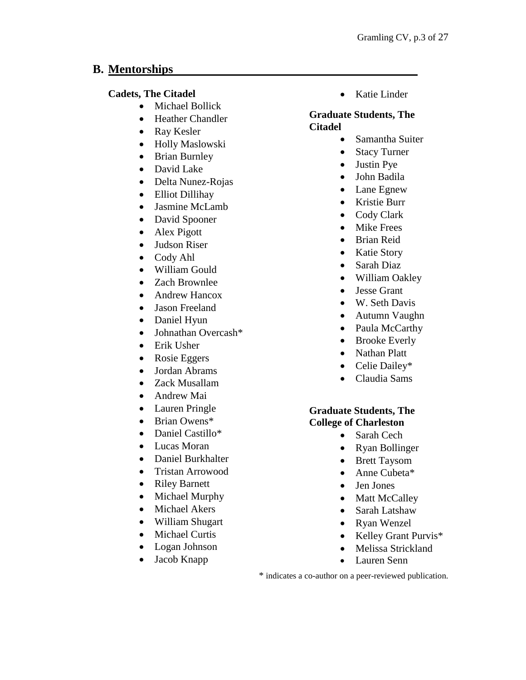## **B. Mentorships**

#### **Cadets, The Citadel**

- Michael Bollick
- Heather Chandler
- Ray Kesler
- Holly Maslowski
- Brian Burnley
- David Lake
- Delta Nunez-Rojas
- Elliot Dillihay
- Jasmine McLamb
- David Spooner
- Alex Pigott
- Judson Riser
- Cody Ahl
- William Gould
- Zach Brownlee
- Andrew Hancox
- Jason Freeland
- Daniel Hyun
- Johnathan Overcash\*
- Erik Usher
- Rosie Eggers
- Jordan Abrams
- Zack Musallam
- Andrew Mai
- Lauren Pringle
- Brian Owens\*
- Daniel Castillo\*
- Lucas Moran
- Daniel Burkhalter
- Tristan Arrowood
- Riley Barnett
- Michael Murphy
- Michael Akers
- William Shugart
- Michael Curtis
- Logan Johnson
- Jacob Knapp

• Katie Linder

#### **Graduate Students, The Citadel**

- Samantha Suiter
- Stacy Turner
- Justin Pye
- John Badila
- Lane Egnew
- Kristie Burr
- Cody Clark
- **Mike Frees**
- Brian Reid
- Katie Story
- Sarah Diaz
- William Oakley
- Jesse Grant
- W. Seth Davis
- Autumn Vaughn
- Paula McCarthy
- Brooke Everly
- Nathan Platt
- Celie Dailey\*
- Claudia Sams

#### **Graduate Students, The College of Charleston**

- Sarah Cech
- Ryan Bollinger
- Brett Taysom
- Anne Cubeta\*
- Jen Jones
- Matt McCalley
- Sarah Latshaw
- Ryan Wenzel
- Kelley Grant Purvis\*
- Melissa Strickland
- Lauren Senn

\* indicates a co-author on a peer-reviewed publication.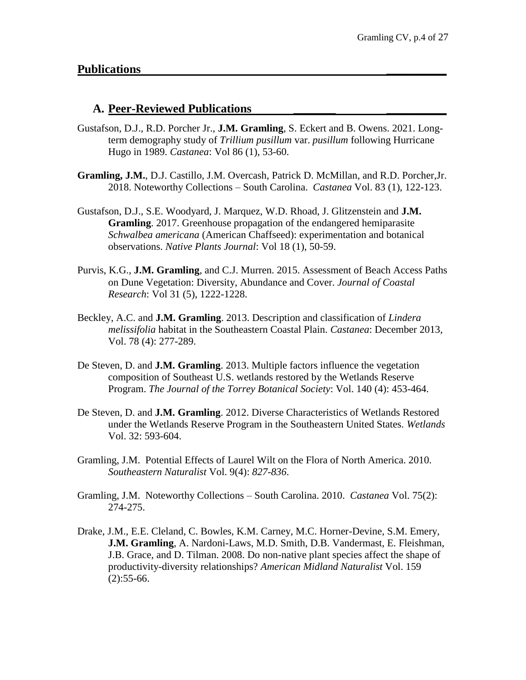#### **A. Peer-Reviewed Publications \_\_\_\_\_\_\_ \_\_\_\_\_\_\_\_\_\_**

- Gustafson, D.J., R.D. Porcher Jr., **J.M. Gramling**, S. Eckert and B. Owens. 2021. Longterm demography study of *Trillium pusillum* var. *pusillum* following Hurricane Hugo in 1989. *Castanea*: Vol 86 (1), 53-60.
- **Gramling, J.M.**, D.J. Castillo, J.M. Overcash, Patrick D. McMillan, and R.D. Porcher,Jr. 2018. Noteworthy Collections – South Carolina. *Castanea* Vol. 83 (1), 122-123.
- Gustafson, D.J., S.E. Woodyard, J. Marquez, W.D. Rhoad, J. Glitzenstein and **J.M. Gramling**. 2017. Greenhouse propagation of the endangered hemiparasite *Schwalbea americana* (American Chaffseed): experimentation and botanical observations. *Native Plants Journal*: Vol 18 (1), 50-59.
- Purvis, K.G., **J.M. Gramling**, and C.J. Murren. 2015. Assessment of Beach Access Paths on Dune Vegetation: Diversity, Abundance and Cover. *Journal of Coastal Research*: Vol 31 (5), 1222-1228.
- Beckley, A.C. and **J.M. Gramling**. 2013. Description and classification of *Lindera melissifolia* habitat in the Southeastern Coastal Plain. *Castanea*: December 2013, Vol. 78 (4): 277-289.
- De Steven, D. and **J.M. Gramling**. 2013. Multiple factors influence the vegetation composition of Southeast U.S. wetlands restored by the Wetlands Reserve Program. *The Journal of the Torrey Botanical Society*: Vol. 140 (4): 453-464.
- De Steven, D. and **J.M. Gramling**. 2012. Diverse Characteristics of Wetlands Restored under the Wetlands Reserve Program in the Southeastern United States. *Wetlands* Vol. 32: 593-604.
- Gramling, J.M. Potential Effects of Laurel Wilt on the Flora of North America. 2010. *Southeastern Naturalist* Vol. 9(4): *827-836*.
- Gramling, J.M. Noteworthy Collections South Carolina. 2010. *Castanea* Vol. 75(2): 274-275.
- Drake, J.M., E.E. Cleland, C. Bowles, K.M. Carney, M.C. Horner-Devine, S.M. Emery, **J.M. Gramling**, A. Nardoni-Laws, M.D. Smith, D.B. Vandermast, E. Fleishman, J.B. Grace, and D. Tilman. 2008. Do non-native plant species affect the shape of productivity-diversity relationships? *American Midland Naturalist* Vol. 159  $(2):$ 55-66.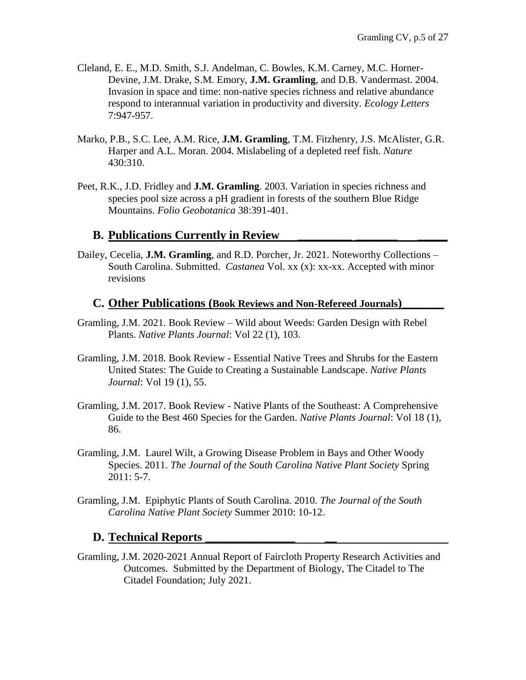- Cleland, E. E., M.D. Smith, S.J. Andelman, C. Bowles, K.M. Carney, M.C. Horner-Devine, J.M. Drake, S.M. Emory, **J.M. Gramling**, and D.B. Vandermast. 2004. Invasion in space and time: non-native species richness and relative abundance respond to interannual variation in productivity and diversity. *Ecology Letters*  7:947-957.
- Marko, P.B., S.C. Lee, A.M. Rice, **J.M. Gramling**, T.M. Fitzhenry, J.S. McAlister, G.R. Harper and A.L. Moran. 2004. Mislabeling of a depleted reef fish. *Nature*  430:310.
- Peet, R.K., J.D. Fridley and **J.M. Gramling**. 2003. Variation in species richness and species pool size across a pH gradient in forests of the southern Blue Ridge Mountains. *Folio Geobotanica* 38:391-401.

### **B. Publications Currently in Review \_\_\_\_\_\_\_\_\_ \_\_\_\_\_\_\_ \_\_\_\_\_**

Dailey, Cecelia, **J.M. Gramling**, and R.D. Porcher, Jr. 2021. Noteworthy Collections – South Carolina. Submitted. *Castanea* Vol. xx (x): xx-xx. Accepted with minor revisions

#### **C. Other Publications (Book Reviews and Non-Refereed Journals)\_\_\_\_\_\_\_**

- Gramling, J.M. 2021. Book Review Wild about Weeds: Garden Design with Rebel Plants. *Native Plants Journal*: Vol 22 (1), 103.
- Gramling, J.M. 2018. Book Review Essential Native Trees and Shrubs for the Eastern United States: The Guide to Creating a Sustainable Landscape. *Native Plants Journal*: Vol 19 (1), 55.
- Gramling, J.M. 2017. Book Review Native Plants of the Southeast: A Comprehensive Guide to the Best 460 Species for the Garden. *Native Plants Journal*: Vol 18 (1), 86.
- Gramling, J.M. Laurel Wilt, a Growing Disease Problem in Bays and Other Woody Species. 2011. *The Journal of the South Carolina Native Plant Society* Spring 2011: 5-7.
- Gramling, J.M. Epiphytic Plants of South Carolina. 2010. *The Journal of the South Carolina Native Plant Society* Summer 2010: 10-12.

#### **D. Technical Reports \_\_\_\_\_\_\_\_\_\_\_\_\_\_\_ \_\_**

Gramling, J.M. 2020-2021 Annual Report of Faircloth Property Research Activities and Outcomes. Submitted by the Department of Biology, The Citadel to The Citadel Foundation; July 2021.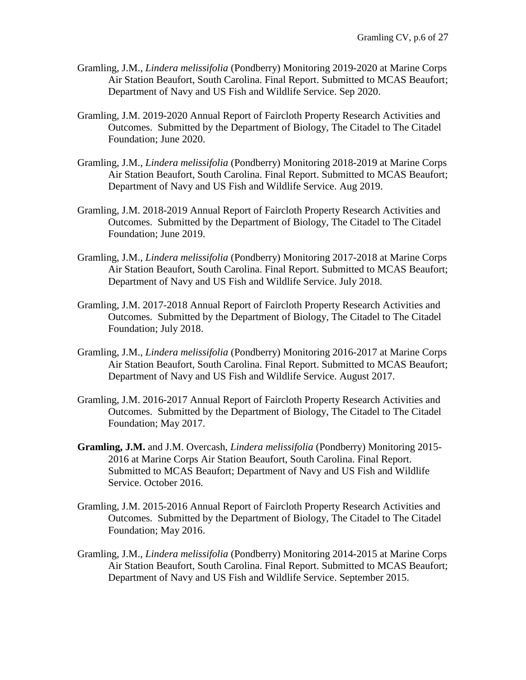- Gramling, J.M., *Lindera melissifolia* (Pondberry) Monitoring 2019-2020 at Marine Corps Air Station Beaufort, South Carolina. Final Report. Submitted to MCAS Beaufort; Department of Navy and US Fish and Wildlife Service. Sep 2020.
- Gramling, J.M. 2019-2020 Annual Report of Faircloth Property Research Activities and Outcomes. Submitted by the Department of Biology, The Citadel to The Citadel Foundation; June 2020.
- Gramling, J.M., *Lindera melissifolia* (Pondberry) Monitoring 2018-2019 at Marine Corps Air Station Beaufort, South Carolina. Final Report. Submitted to MCAS Beaufort; Department of Navy and US Fish and Wildlife Service. Aug 2019.
- Gramling, J.M. 2018-2019 Annual Report of Faircloth Property Research Activities and Outcomes. Submitted by the Department of Biology, The Citadel to The Citadel Foundation; June 2019.
- Gramling, J.M., *Lindera melissifolia* (Pondberry) Monitoring 2017-2018 at Marine Corps Air Station Beaufort, South Carolina. Final Report. Submitted to MCAS Beaufort; Department of Navy and US Fish and Wildlife Service. July 2018.
- Gramling, J.M. 2017-2018 Annual Report of Faircloth Property Research Activities and Outcomes. Submitted by the Department of Biology, The Citadel to The Citadel Foundation; July 2018.
- Gramling, J.M., *Lindera melissifolia* (Pondberry) Monitoring 2016-2017 at Marine Corps Air Station Beaufort, South Carolina. Final Report. Submitted to MCAS Beaufort; Department of Navy and US Fish and Wildlife Service. August 2017.
- Gramling, J.M. 2016-2017 Annual Report of Faircloth Property Research Activities and Outcomes. Submitted by the Department of Biology, The Citadel to The Citadel Foundation; May 2017.
- **Gramling, J.M.** and J.M. Overcash, *Lindera melissifolia* (Pondberry) Monitoring 2015- 2016 at Marine Corps Air Station Beaufort, South Carolina. Final Report. Submitted to MCAS Beaufort; Department of Navy and US Fish and Wildlife Service. October 2016.
- Gramling, J.M. 2015-2016 Annual Report of Faircloth Property Research Activities and Outcomes. Submitted by the Department of Biology, The Citadel to The Citadel Foundation; May 2016.
- Gramling, J.M., *Lindera melissifolia* (Pondberry) Monitoring 2014-2015 at Marine Corps Air Station Beaufort, South Carolina. Final Report. Submitted to MCAS Beaufort; Department of Navy and US Fish and Wildlife Service. September 2015.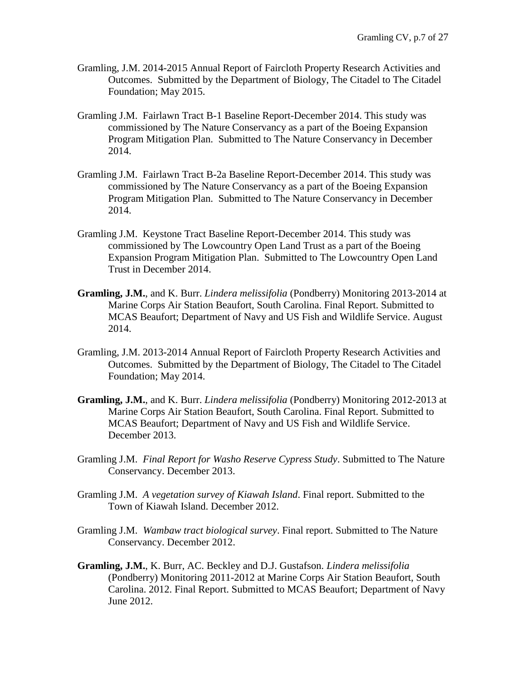- Gramling, J.M. 2014-2015 Annual Report of Faircloth Property Research Activities and Outcomes. Submitted by the Department of Biology, The Citadel to The Citadel Foundation; May 2015.
- Gramling J.M. Fairlawn Tract B-1 Baseline Report-December 2014. This study was commissioned by The Nature Conservancy as a part of the Boeing Expansion Program Mitigation Plan. Submitted to The Nature Conservancy in December 2014.
- Gramling J.M. Fairlawn Tract B-2a Baseline Report-December 2014. This study was commissioned by The Nature Conservancy as a part of the Boeing Expansion Program Mitigation Plan. Submitted to The Nature Conservancy in December 2014.
- Gramling J.M. Keystone Tract Baseline Report-December 2014. This study was commissioned by The Lowcountry Open Land Trust as a part of the Boeing Expansion Program Mitigation Plan. Submitted to The Lowcountry Open Land Trust in December 2014.
- **Gramling, J.M.**, and K. Burr. *Lindera melissifolia* (Pondberry) Monitoring 2013-2014 at Marine Corps Air Station Beaufort, South Carolina. Final Report. Submitted to MCAS Beaufort; Department of Navy and US Fish and Wildlife Service. August 2014.
- Gramling, J.M. 2013-2014 Annual Report of Faircloth Property Research Activities and Outcomes. Submitted by the Department of Biology, The Citadel to The Citadel Foundation; May 2014.
- **Gramling, J.M.**, and K. Burr. *Lindera melissifolia* (Pondberry) Monitoring 2012-2013 at Marine Corps Air Station Beaufort, South Carolina. Final Report. Submitted to MCAS Beaufort; Department of Navy and US Fish and Wildlife Service. December 2013.
- Gramling J.M. *Final Report for Washo Reserve Cypress Study*. Submitted to The Nature Conservancy. December 2013.
- Gramling J.M. *A vegetation survey of Kiawah Island*. Final report. Submitted to the Town of Kiawah Island. December 2012.
- Gramling J.M. *Wambaw tract biological survey*. Final report. Submitted to The Nature Conservancy. December 2012.
- **Gramling, J.M.**, K. Burr, AC. Beckley and D.J. Gustafson. *Lindera melissifolia* (Pondberry) Monitoring 2011-2012 at Marine Corps Air Station Beaufort, South Carolina. 2012. Final Report. Submitted to MCAS Beaufort; Department of Navy June 2012.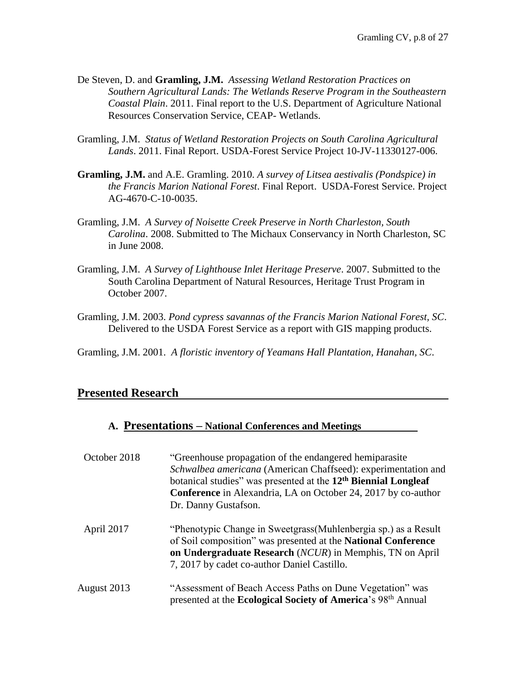- De Steven, D. and **Gramling, J.M.** *Assessing Wetland Restoration Practices on Southern Agricultural Lands: The Wetlands Reserve Program in the Southeastern Coastal Plain*. 2011. Final report to the U.S. Department of Agriculture National Resources Conservation Service, CEAP- Wetlands.
- Gramling, J.M. *Status of Wetland Restoration Projects on South Carolina Agricultural Lands*. 2011. Final Report. USDA-Forest Service Project 10-JV-11330127-006.
- **Gramling, J.M.** and A.E. Gramling. 2010. *A survey of Litsea aestivalis (Pondspice) in the Francis Marion National Forest*. Final Report. USDA-Forest Service. Project AG-4670-C-10-0035.
- Gramling, J.M. *A Survey of Noisette Creek Preserve in North Charleston, South Carolina*. 2008. Submitted to The Michaux Conservancy in North Charleston, SC in June 2008.
- Gramling, J.M. *A Survey of Lighthouse Inlet Heritage Preserve*. 2007. Submitted to the South Carolina Department of Natural Resources, Heritage Trust Program in October 2007.
- Gramling, J.M. 2003. *Pond cypress savannas of the Francis Marion National Forest, SC*. Delivered to the USDA Forest Service as a report with GIS mapping products.

Gramling, J.M. 2001. *A floristic inventory of Yeamans Hall Plantation, Hanahan, SC*.

#### **Presented Research**

#### **A. Presentations – National Conferences and Meetings**

| October 2018 | "Greenhouse propagation of the endangered hemiparasite"<br>Schwalbea americana (American Chaffseed): experimentation and<br>botanical studies" was presented at the 12 <sup>th</sup> Biennial Longleaf<br><b>Conference</b> in Alexandria, LA on October 24, 2017 by co-author<br>Dr. Danny Gustafson. |
|--------------|--------------------------------------------------------------------------------------------------------------------------------------------------------------------------------------------------------------------------------------------------------------------------------------------------------|
| April 2017   | "Phenotypic Change in Sweetgrass (Muhlenbergia sp.) as a Result<br>of Soil composition" was presented at the National Conference<br>on Undergraduate Research (NCUR) in Memphis, TN on April<br>7, 2017 by cadet co-author Daniel Castillo.                                                            |
| August 2013  | "Assessment of Beach Access Paths on Dune Vegetation" was<br>presented at the <b>Ecological Society of America</b> 's 98 <sup>th</sup> Annual                                                                                                                                                          |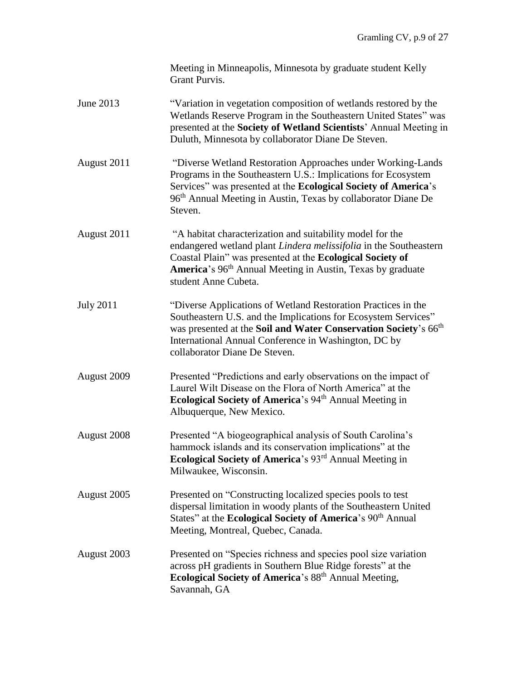|                  | Meeting in Minneapolis, Minnesota by graduate student Kelly<br>Grant Purvis.                                                                                                                                                                                                                            |
|------------------|---------------------------------------------------------------------------------------------------------------------------------------------------------------------------------------------------------------------------------------------------------------------------------------------------------|
| June 2013        | "Variation in vegetation composition of wetlands restored by the<br>Wetlands Reserve Program in the Southeastern United States" was<br>presented at the Society of Wetland Scientists' Annual Meeting in<br>Duluth, Minnesota by collaborator Diane De Steven.                                          |
| August 2011      | "Diverse Wetland Restoration Approaches under Working-Lands<br>Programs in the Southeastern U.S.: Implications for Ecosystem<br>Services" was presented at the Ecological Society of America's<br>96 <sup>th</sup> Annual Meeting in Austin, Texas by collaborator Diane De<br>Steven.                  |
| August 2011      | "A habitat characterization and suitability model for the<br>endangered wetland plant Lindera melissifolia in the Southeastern<br>Coastal Plain" was presented at the Ecological Society of<br>America's 96 <sup>th</sup> Annual Meeting in Austin, Texas by graduate<br>student Anne Cubeta.           |
| <b>July 2011</b> | "Diverse Applications of Wetland Restoration Practices in the<br>Southeastern U.S. and the Implications for Ecosystem Services"<br>was presented at the Soil and Water Conservation Society's 66 <sup>th</sup><br>International Annual Conference in Washington, DC by<br>collaborator Diane De Steven. |
| August 2009      | Presented "Predictions and early observations on the impact of<br>Laurel Wilt Disease on the Flora of North America" at the<br>Ecological Society of America's 94 <sup>th</sup> Annual Meeting in<br>Albuquerque, New Mexico.                                                                           |
| August 2008      | Presented "A biogeographical analysis of South Carolina's<br>hammock islands and its conservation implications" at the<br>Ecological Society of America's 93 <sup>rd</sup> Annual Meeting in<br>Milwaukee, Wisconsin.                                                                                   |
| August 2005      | Presented on "Constructing localized species pools to test<br>dispersal limitation in woody plants of the Southeastern United<br>States" at the Ecological Society of America's 90 <sup>th</sup> Annual<br>Meeting, Montreal, Quebec, Canada.                                                           |
| August 2003      | Presented on "Species richness and species pool size variation<br>across pH gradients in Southern Blue Ridge forests" at the<br><b>Ecological Society of America</b> 's 88 <sup>th</sup> Annual Meeting,<br>Savannah, GA                                                                                |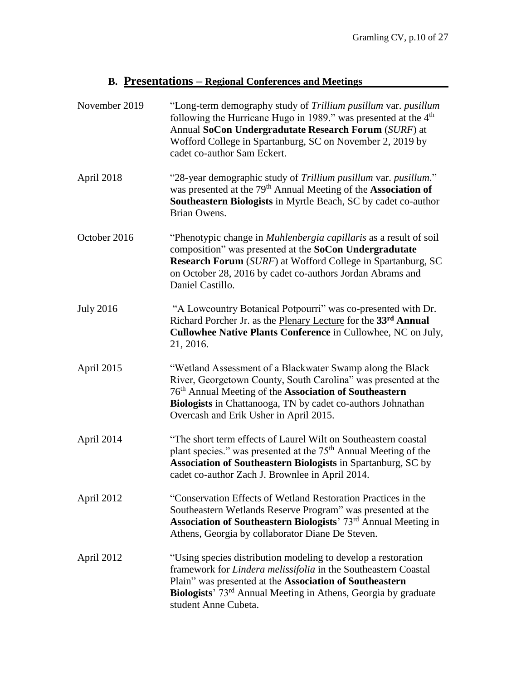# **B. Presentations – Regional Conferences and Meetings**

| November 2019    | "Long-term demography study of Trillium pusillum var. pusillum<br>following the Hurricane Hugo in 1989." was presented at the 4 <sup>th</sup><br>Annual SoCon Undergradutate Research Forum (SURF) at<br>Wofford College in Spartanburg, SC on November 2, 2019 by<br>cadet co-author Sam Eckert.          |
|------------------|------------------------------------------------------------------------------------------------------------------------------------------------------------------------------------------------------------------------------------------------------------------------------------------------------------|
| April 2018       | "28-year demographic study of Trillium pusillum var. pusillum."<br>was presented at the 79 <sup>th</sup> Annual Meeting of the <b>Association of</b><br>Southeastern Biologists in Myrtle Beach, SC by cadet co-author<br>Brian Owens.                                                                     |
| October 2016     | "Phenotypic change in <i>Muhlenbergia capillaris</i> as a result of soil<br>composition" was presented at the SoCon Undergradutate<br><b>Research Forum</b> (SURF) at Wofford College in Spartanburg, SC<br>on October 28, 2016 by cadet co-authors Jordan Abrams and<br>Daniel Castillo.                  |
| <b>July 2016</b> | "A Lowcountry Botanical Potpourri" was co-presented with Dr.<br>Richard Porcher Jr. as the Plenary Lecture for the 33rd Annual<br>Cullowhee Native Plants Conference in Cullowhee, NC on July,<br>21, 2016.                                                                                                |
| April 2015       | "Wetland Assessment of a Blackwater Swamp along the Black<br>River, Georgetown County, South Carolina" was presented at the<br>76 <sup>th</sup> Annual Meeting of the Association of Southeastern<br>Biologists in Chattanooga, TN by cadet co-authors Johnathan<br>Overcash and Erik Usher in April 2015. |
| April 2014       | "The short term effects of Laurel Wilt on Southeastern coastal<br>plant species." was presented at the 75 <sup>th</sup> Annual Meeting of the<br><b>Association of Southeastern Biologists in Spartanburg, SC by</b><br>cadet co-author Zach J. Brownlee in April 2014.                                    |
| April 2012       | "Conservation Effects of Wetland Restoration Practices in the<br>Southeastern Wetlands Reserve Program" was presented at the<br>Association of Southeastern Biologists' 73rd Annual Meeting in<br>Athens, Georgia by collaborator Diane De Steven.                                                         |
| April 2012       | "Using species distribution modeling to develop a restoration<br>framework for Lindera melissifolia in the Southeastern Coastal<br>Plain" was presented at the Association of Southeastern<br>Biologists' 73 <sup>rd</sup> Annual Meeting in Athens, Georgia by graduate<br>student Anne Cubeta.           |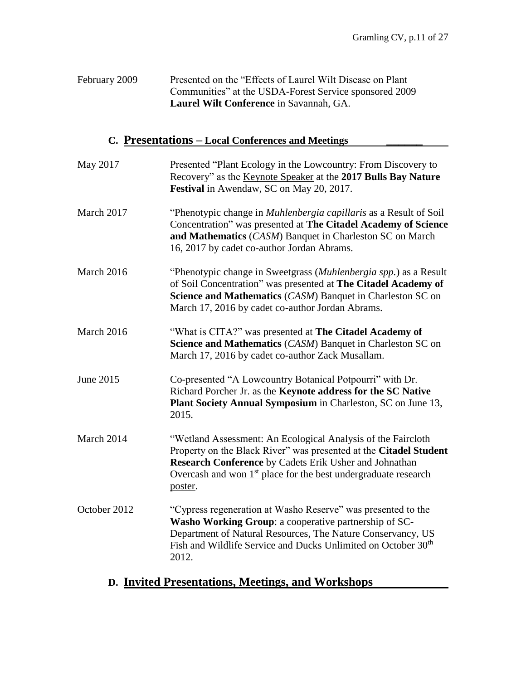| February 2009 | Presented on the "Effects of Laurel Wilt Disease on Plant" |
|---------------|------------------------------------------------------------|
|               | Communities" at the USDA-Forest Service sponsored 2009     |
|               | Laurel Wilt Conference in Savannah, GA.                    |

## **C. Presentations – Local Conferences and Meetings \_\_\_\_\_\_**

| May 2017     | Presented "Plant Ecology in the Lowcountry: From Discovery to<br>Recovery" as the Keynote Speaker at the 2017 Bulls Bay Nature<br>Festival in Awendaw, SC on May 20, 2017.                                                                                                           |
|--------------|--------------------------------------------------------------------------------------------------------------------------------------------------------------------------------------------------------------------------------------------------------------------------------------|
| March 2017   | "Phenotypic change in <i>Muhlenbergia capillaris</i> as a Result of Soil<br>Concentration" was presented at The Citadel Academy of Science<br>and Mathematics (CASM) Banquet in Charleston SC on March<br>16, 2017 by cadet co-author Jordan Abrams.                                 |
| March 2016   | "Phenotypic change in Sweetgrass (Muhlenbergia spp.) as a Result<br>of Soil Concentration" was presented at The Citadel Academy of<br>Science and Mathematics (CASM) Banquet in Charleston SC on<br>March 17, 2016 by cadet co-author Jordan Abrams.                                 |
| March 2016   | "What is CITA?" was presented at The Citadel Academy of<br>Science and Mathematics (CASM) Banquet in Charleston SC on<br>March 17, 2016 by cadet co-author Zack Musallam.                                                                                                            |
| June 2015    | Co-presented "A Lowcountry Botanical Potpourri" with Dr.<br>Richard Porcher Jr. as the Keynote address for the SC Native<br>Plant Society Annual Symposium in Charleston, SC on June 13,<br>2015.                                                                                    |
| March 2014   | "Wetland Assessment: An Ecological Analysis of the Faircloth<br>Property on the Black River" was presented at the Citadel Student<br>Research Conference by Cadets Erik Usher and Johnathan<br>Overcash and won 1 <sup>st</sup> place for the best undergraduate research<br>poster. |
| October 2012 | "Cypress regeneration at Washo Reserve" was presented to the<br>Washo Working Group: a cooperative partnership of SC-<br>Department of Natural Resources, The Nature Conservancy, US<br>Fish and Wildlife Service and Ducks Unlimited on October 30 <sup>th</sup><br>2012.           |

# **D. Invited Presentations, Meetings, and Workshops**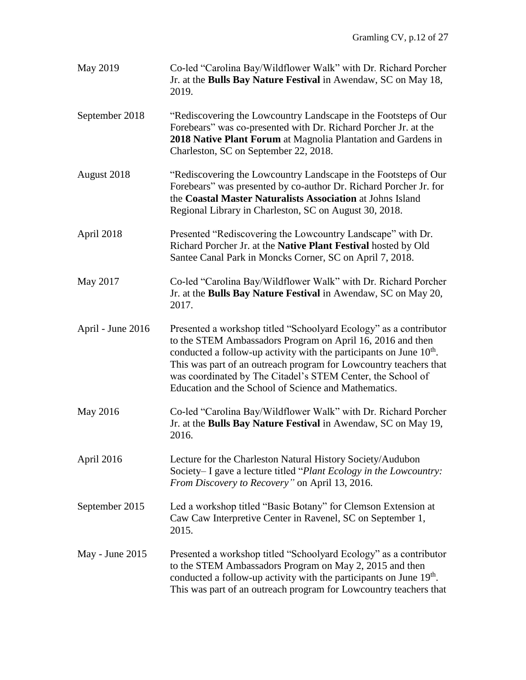| May 2019          | Co-led "Carolina Bay/Wildflower Walk" with Dr. Richard Porcher<br>Jr. at the Bulls Bay Nature Festival in Awendaw, SC on May 18,<br>2019.                                                                                                                                                                                                                                                            |
|-------------------|------------------------------------------------------------------------------------------------------------------------------------------------------------------------------------------------------------------------------------------------------------------------------------------------------------------------------------------------------------------------------------------------------|
| September 2018    | "Rediscovering the Lowcountry Landscape in the Footsteps of Our<br>Forebears" was co-presented with Dr. Richard Porcher Jr. at the<br>2018 Native Plant Forum at Magnolia Plantation and Gardens in<br>Charleston, SC on September 22, 2018.                                                                                                                                                         |
| August 2018       | "Rediscovering the Lowcountry Landscape in the Footsteps of Our<br>Forebears" was presented by co-author Dr. Richard Porcher Jr. for<br>the Coastal Master Naturalists Association at Johns Island<br>Regional Library in Charleston, SC on August 30, 2018.                                                                                                                                         |
| April 2018        | Presented "Rediscovering the Lowcountry Landscape" with Dr.<br>Richard Porcher Jr. at the Native Plant Festival hosted by Old<br>Santee Canal Park in Moncks Corner, SC on April 7, 2018.                                                                                                                                                                                                            |
| May 2017          | Co-led "Carolina Bay/Wildflower Walk" with Dr. Richard Porcher<br>Jr. at the Bulls Bay Nature Festival in Awendaw, SC on May 20,<br>2017.                                                                                                                                                                                                                                                            |
| April - June 2016 | Presented a workshop titled "Schoolyard Ecology" as a contributor<br>to the STEM Ambassadors Program on April 16, 2016 and then<br>conducted a follow-up activity with the participants on June $10th$ .<br>This was part of an outreach program for Lowcountry teachers that<br>was coordinated by The Citadel's STEM Center, the School of<br>Education and the School of Science and Mathematics. |
| May 2016          | Co-led "Carolina Bay/Wildflower Walk" with Dr. Richard Porcher<br>Jr. at the Bulls Bay Nature Festival in Awendaw, SC on May 19,<br>2016.                                                                                                                                                                                                                                                            |
| April 2016        | Lecture for the Charleston Natural History Society/Audubon<br>Society– I gave a lecture titled "Plant Ecology in the Lowcountry:<br>From Discovery to Recovery" on April 13, 2016.                                                                                                                                                                                                                   |
| September 2015    | Led a workshop titled "Basic Botany" for Clemson Extension at<br>Caw Caw Interpretive Center in Ravenel, SC on September 1,<br>2015.                                                                                                                                                                                                                                                                 |
| May - June $2015$ | Presented a workshop titled "Schoolyard Ecology" as a contributor<br>to the STEM Ambassadors Program on May 2, 2015 and then<br>conducted a follow-up activity with the participants on June 19th.<br>This was part of an outreach program for Lowcountry teachers that                                                                                                                              |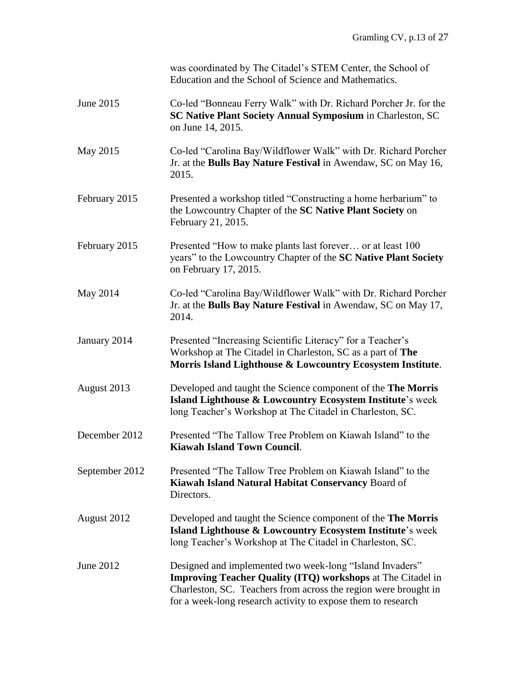|                | was coordinated by The Citadel's STEM Center, the School of<br>Education and the School of Science and Mathematics.                                                                                                                                               |
|----------------|-------------------------------------------------------------------------------------------------------------------------------------------------------------------------------------------------------------------------------------------------------------------|
| June 2015      | Co-led "Bonneau Ferry Walk" with Dr. Richard Porcher Jr. for the<br>SC Native Plant Society Annual Symposium in Charleston, SC<br>on June 14, 2015.                                                                                                               |
| May 2015       | Co-led "Carolina Bay/Wildflower Walk" with Dr. Richard Porcher<br>Jr. at the Bulls Bay Nature Festival in Awendaw, SC on May 16,<br>2015.                                                                                                                         |
| February 2015  | Presented a workshop titled "Constructing a home herbarium" to<br>the Lowcountry Chapter of the SC Native Plant Society on<br>February 21, 2015.                                                                                                                  |
| February 2015  | Presented "How to make plants last forever or at least 100<br>years" to the Lowcountry Chapter of the SC Native Plant Society<br>on February 17, 2015.                                                                                                            |
| May 2014       | Co-led "Carolina Bay/Wildflower Walk" with Dr. Richard Porcher<br>Jr. at the Bulls Bay Nature Festival in Awendaw, SC on May 17,<br>2014.                                                                                                                         |
| January 2014   | Presented "Increasing Scientific Literacy" for a Teacher's<br>Workshop at The Citadel in Charleston, SC as a part of The<br>Morris Island Lighthouse & Lowcountry Ecosystem Institute.                                                                            |
| August 2013    | Developed and taught the Science component of the The Morris<br>Island Lighthouse & Lowcountry Ecosystem Institute's week<br>long Teacher's Workshop at The Citadel in Charleston, SC.                                                                            |
| December 2012  | Presented "The Tallow Tree Problem on Kiawah Island" to the<br><b>Kiawah Island Town Council.</b>                                                                                                                                                                 |
| September 2012 | Presented "The Tallow Tree Problem on Kiawah Island" to the<br>Kiawah Island Natural Habitat Conservancy Board of<br>Directors.                                                                                                                                   |
| August 2012    | Developed and taught the Science component of the <b>The Morris</b><br>Island Lighthouse & Lowcountry Ecosystem Institute's week<br>long Teacher's Workshop at The Citadel in Charleston, SC.                                                                     |
| June 2012      | Designed and implemented two week-long "Island Invaders"<br><b>Improving Teacher Quality (ITQ) workshops at The Citadel in</b><br>Charleston, SC. Teachers from across the region were brought in<br>for a week-long research activity to expose them to research |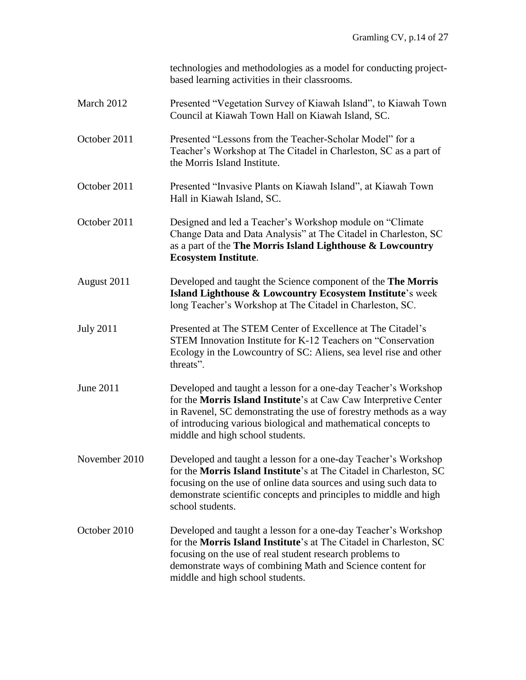|                  | technologies and methodologies as a model for conducting project-<br>based learning activities in their classrooms.                                                                                                                                                                                           |
|------------------|---------------------------------------------------------------------------------------------------------------------------------------------------------------------------------------------------------------------------------------------------------------------------------------------------------------|
| March 2012       | Presented "Vegetation Survey of Kiawah Island", to Kiawah Town<br>Council at Kiawah Town Hall on Kiawah Island, SC.                                                                                                                                                                                           |
| October 2011     | Presented "Lessons from the Teacher-Scholar Model" for a<br>Teacher's Workshop at The Citadel in Charleston, SC as a part of<br>the Morris Island Institute.                                                                                                                                                  |
| October 2011     | Presented "Invasive Plants on Kiawah Island", at Kiawah Town<br>Hall in Kiawah Island, SC.                                                                                                                                                                                                                    |
| October 2011     | Designed and led a Teacher's Workshop module on "Climate"<br>Change Data and Data Analysis" at The Citadel in Charleston, SC<br>as a part of the The Morris Island Lighthouse & Lowcountry<br><b>Ecosystem Institute.</b>                                                                                     |
| August 2011      | Developed and taught the Science component of the The Morris<br>Island Lighthouse & Lowcountry Ecosystem Institute's week<br>long Teacher's Workshop at The Citadel in Charleston, SC.                                                                                                                        |
| <b>July 2011</b> | Presented at The STEM Center of Excellence at The Citadel's<br>STEM Innovation Institute for K-12 Teachers on "Conservation"<br>Ecology in the Lowcountry of SC: Aliens, sea level rise and other<br>threats".                                                                                                |
| June 2011        | Developed and taught a lesson for a one-day Teacher's Workshop<br>for the Morris Island Institute's at Caw Caw Interpretive Center<br>in Ravenel, SC demonstrating the use of forestry methods as a way<br>of introducing various biological and mathematical concepts to<br>middle and high school students. |
| November 2010    | Developed and taught a lesson for a one-day Teacher's Workshop<br>for the Morris Island Institute's at The Citadel in Charleston, SC<br>focusing on the use of online data sources and using such data to<br>demonstrate scientific concepts and principles to middle and high<br>school students.            |
| October 2010     | Developed and taught a lesson for a one-day Teacher's Workshop<br>for the Morris Island Institute's at The Citadel in Charleston, SC<br>focusing on the use of real student research problems to<br>demonstrate ways of combining Math and Science content for<br>middle and high school students.            |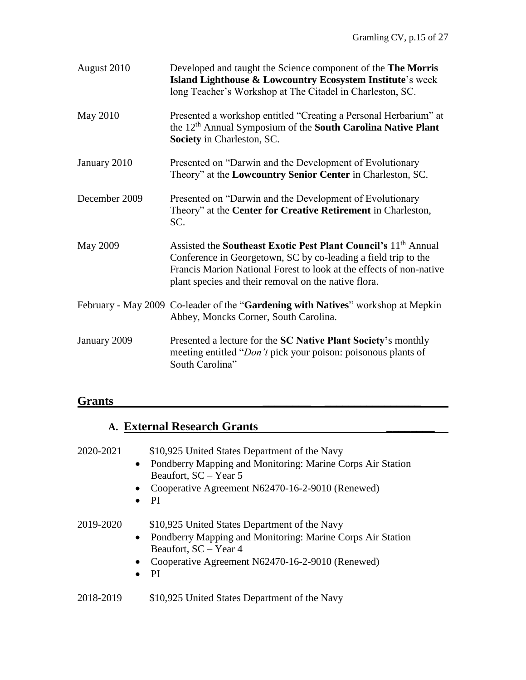| August 2010     | Developed and taught the Science component of the The Morris<br>Island Lighthouse & Lowcountry Ecosystem Institute's week<br>long Teacher's Workshop at The Citadel in Charleston, SC.                                                                                      |
|-----------------|-----------------------------------------------------------------------------------------------------------------------------------------------------------------------------------------------------------------------------------------------------------------------------|
| May 2010        | Presented a workshop entitled "Creating a Personal Herbarium" at<br>the 12 <sup>th</sup> Annual Symposium of the <b>South Carolina Native Plant</b><br>Society in Charleston, SC.                                                                                           |
| January 2010    | Presented on "Darwin and the Development of Evolutionary<br>Theory" at the Lowcountry Senior Center in Charleston, SC.                                                                                                                                                      |
| December 2009   | Presented on "Darwin and the Development of Evolutionary<br>Theory" at the Center for Creative Retirement in Charleston,<br>SC.                                                                                                                                             |
| <b>May 2009</b> | Assisted the Southeast Exotic Pest Plant Council's 11 <sup>th</sup> Annual<br>Conference in Georgetown, SC by co-leading a field trip to the<br>Francis Marion National Forest to look at the effects of non-native<br>plant species and their removal on the native flora. |
|                 | February - May 2009 Co-leader of the "Gardening with Natives" workshop at Mepkin<br>Abbey, Moncks Corner, South Carolina.                                                                                                                                                   |
| January 2009    | Presented a lecture for the SC Native Plant Society's monthly<br>meeting entitled "Don't pick your poison: poisonous plants of<br>South Carolina"                                                                                                                           |

### **Grants \_\_\_\_\_\_\_\_ \_\_\_\_\_\_\_\_\_\_\_\_\_\_\_\_**

### **A. External Research Grants \_\_\_\_\_\_\_\_**

#### 2020-2021 \$10,925 United States Department of the Navy

- Pondberry Mapping and Monitoring: Marine Corps Air Station Beaufort, SC – Year 5
- Cooperative Agreement N62470-16-2-9010 (Renewed)
- PI

2019-2020 \$10,925 United States Department of the Navy

- Pondberry Mapping and Monitoring: Marine Corps Air Station Beaufort, SC – Year 4
- Cooperative Agreement N62470-16-2-9010 (Renewed)
- PI

#### 2018-2019 \$10,925 United States Department of the Navy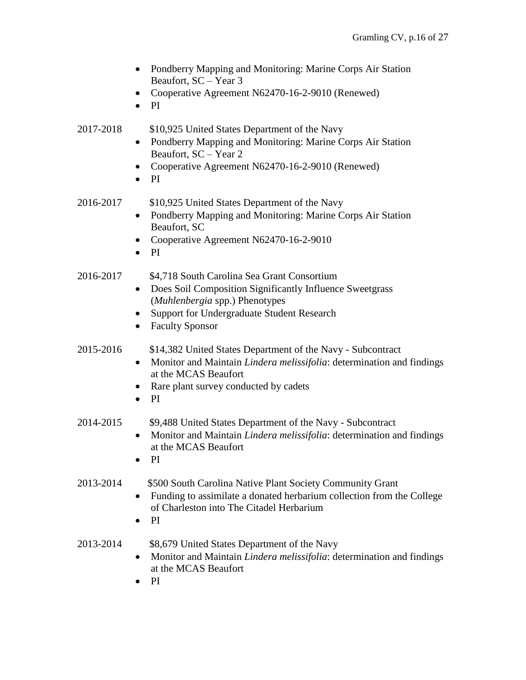|           | Pondberry Mapping and Monitoring: Marine Corps Air Station<br>$\bullet$<br>Beaufort, SC - Year 3<br>Cooperative Agreement N62470-16-2-9010 (Renewed)<br>PI<br>$\bullet$                                                               |
|-----------|---------------------------------------------------------------------------------------------------------------------------------------------------------------------------------------------------------------------------------------|
| 2017-2018 | \$10,925 United States Department of the Navy<br>Pondberry Mapping and Monitoring: Marine Corps Air Station<br>$\bullet$<br>Beaufort, SC - Year 2<br>Cooperative Agreement N62470-16-2-9010 (Renewed)<br>$\bullet$<br>PI              |
| 2016-2017 | \$10,925 United States Department of the Navy<br>Pondberry Mapping and Monitoring: Marine Corps Air Station<br>$\bullet$<br>Beaufort, SC<br>Cooperative Agreement N62470-16-2-9010<br><b>PI</b><br>$\bullet$                          |
| 2016-2017 | \$4,718 South Carolina Sea Grant Consortium<br>Does Soil Composition Significantly Influence Sweetgrass<br>(Muhlenbergia spp.) Phenotypes<br>Support for Undergraduate Student Research<br><b>Faculty Sponsor</b><br>$\bullet$        |
| 2015-2016 | \$14,382 United States Department of the Navy - Subcontract<br>Monitor and Maintain Lindera melissifolia: determination and findings<br>$\bullet$<br>at the MCAS Beaufort<br>Rare plant survey conducted by cadets<br>PI<br>$\bullet$ |
| 2014-2015 | \$9,488 United States Department of the Navy - Subcontract<br>Monitor and Maintain Lindera melissifolia: determination and findings<br>$\bullet$<br>at the MCAS Beaufort<br>PI                                                        |
| 2013-2014 | \$500 South Carolina Native Plant Society Community Grant<br>Funding to assimilate a donated herbarium collection from the College<br>٠<br>of Charleston into The Citadel Herbarium<br>PI                                             |
| 2013-2014 | \$8,679 United States Department of the Navy<br>Monitor and Maintain Lindera melissifolia: determination and findings<br>$\bullet$<br>at the MCAS Beaufort                                                                            |

• PI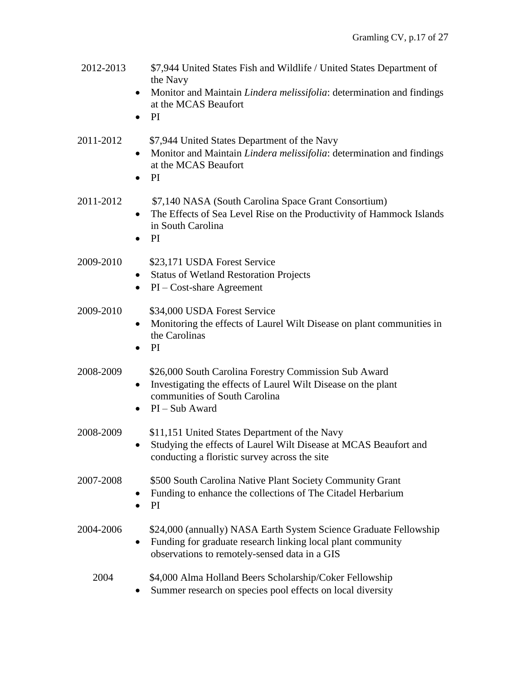| 2012-2013 | \$7,944 United States Fish and Wildlife / United States Department of<br>the Navy<br>Monitor and Maintain Lindera melissifolia: determination and findings<br>$\bullet$<br>at the MCAS Beaufort<br>PI<br>$\bullet$ |
|-----------|--------------------------------------------------------------------------------------------------------------------------------------------------------------------------------------------------------------------|
| 2011-2012 | \$7,944 United States Department of the Navy<br>Monitor and Maintain Lindera melissifolia: determination and findings<br>$\bullet$<br>at the MCAS Beaufort<br>PI                                                   |
| 2011-2012 | \$7,140 NASA (South Carolina Space Grant Consortium)<br>The Effects of Sea Level Rise on the Productivity of Hammock Islands<br>$\bullet$<br>in South Carolina<br>PI<br>$\bullet$                                  |
| 2009-2010 | \$23,171 USDA Forest Service<br><b>Status of Wetland Restoration Projects</b><br>$\bullet$<br>$PI - Cost$ -share Agreement<br>٠                                                                                    |
| 2009-2010 | \$34,000 USDA Forest Service<br>Monitoring the effects of Laurel Wilt Disease on plant communities in<br>٠<br>the Carolinas<br>PI<br>$\bullet$                                                                     |
| 2008-2009 | \$26,000 South Carolina Forestry Commission Sub Award<br>Investigating the effects of Laurel Wilt Disease on the plant<br>$\bullet$<br>communities of South Carolina<br>$PI - Sub Award$<br>$\bullet$              |
| 2008-2009 | \$11,151 United States Department of the Navy<br>Studying the effects of Laurel Wilt Disease at MCAS Beaufort and<br>conducting a floristic survey across the site                                                 |
| 2007-2008 | \$500 South Carolina Native Plant Society Community Grant<br>Funding to enhance the collections of The Citadel Herbarium<br>$\bullet$<br>PI<br>$\bullet$                                                           |
| 2004-2006 | \$24,000 (annually) NASA Earth System Science Graduate Fellowship<br>Funding for graduate research linking local plant community<br>$\bullet$<br>observations to remotely-sensed data in a GIS                     |
| 2004      | \$4,000 Alma Holland Beers Scholarship/Coker Fellowship<br>Summer research on species pool effects on local diversity                                                                                              |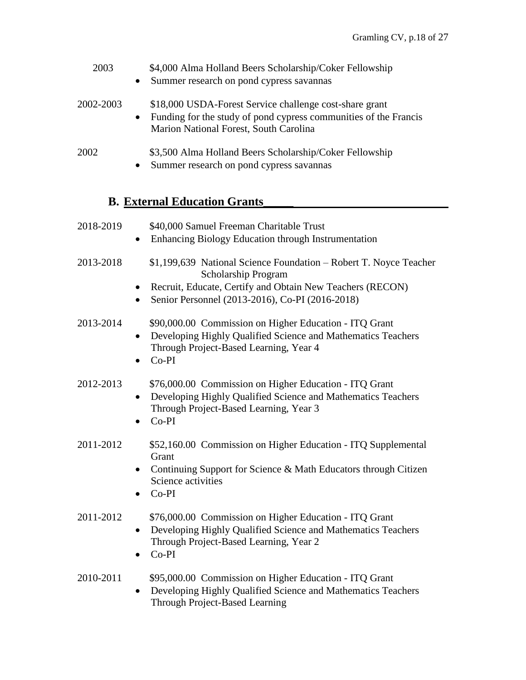| 2003      | \$4,000 Alma Holland Beers Scholarship/Coker Fellowship<br>Summer research on pond cypress savannas<br>$\bullet$                                                                   |
|-----------|------------------------------------------------------------------------------------------------------------------------------------------------------------------------------------|
| 2002-2003 | \$18,000 USDA-Forest Service challenge cost-share grant<br>Funding for the study of pond cypress communities of the Francis<br>$\bullet$<br>Marion National Forest, South Carolina |
| 2002      | \$3,500 Alma Holland Beers Scholarship/Coker Fellowship<br>Summer research on pond cypress savannas<br>$\bullet$                                                                   |

### **B. External Education Grants\_\_\_\_\_**

| 2018-2019 | \$40,000 Samuel Freeman Charitable Trust  |
|-----------|-------------------------------------------|
|           | Enlanding Dialogue Education through Luct |

- Enhancing Biology Education through Instrumentation
- 2013-2018 \$1,199,639 National Science Foundation Robert T. Noyce Teacher Scholarship Program
	- Recruit, Educate, Certify and Obtain New Teachers (RECON)
	- Senior Personnel (2013-2016), Co-PI (2016-2018)

#### 2013-2014 \$90,000.00 Commission on Higher Education - ITQ Grant • Developing Highly Qualified Science and Mathematics Teachers Through Project-Based Learning, Year 4

• Co-PI

#### 2012-2013 \$76,000.00 Commission on Higher Education - ITQ Grant

- Developing Highly Qualified Science and Mathematics Teachers Through Project-Based Learning, Year 3
- Co-PI

#### 2011-2012 \$52,160.00 Commission on Higher Education - ITQ Supplemental Grant

- Continuing Support for Science & Math Educators through Citizen Science activities
- Co-PI

### 2011-2012 \$76,000.00 Commission on Higher Education - ITQ Grant

- Developing Highly Qualified Science and Mathematics Teachers Through Project-Based Learning, Year 2
- Co-PI

### 2010-2011 \$95,000.00 Commission on Higher Education - ITQ Grant

• Developing Highly Qualified Science and Mathematics Teachers Through Project-Based Learning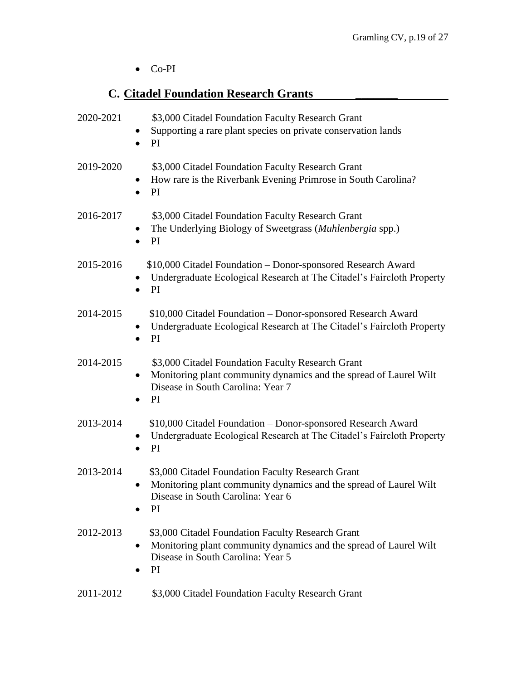• Co-PI

# **C. Citadel Foundation Research Grants \_\_\_\_\_\_\_**

| 2020-2021 | \$3,000 Citadel Foundation Faculty Research Grant<br>Supporting a rare plant species on private conservation lands<br>$\bullet$<br>PI<br>$\bullet$                                                 |
|-----------|----------------------------------------------------------------------------------------------------------------------------------------------------------------------------------------------------|
| 2019-2020 | \$3,000 Citadel Foundation Faculty Research Grant<br>How rare is the Riverbank Evening Primrose in South Carolina?<br>$\bullet$<br><b>PI</b><br>$\bullet$                                          |
| 2016-2017 | \$3,000 Citadel Foundation Faculty Research Grant<br>The Underlying Biology of Sweetgrass (Muhlenbergia spp.)<br>$\bullet$<br>PI.<br>$\bullet$                                                     |
| 2015-2016 | \$10,000 Citadel Foundation - Donor-sponsored Research Award<br>Undergraduate Ecological Research at The Citadel's Faircloth Property<br>PI<br>$\bullet$                                           |
| 2014-2015 | \$10,000 Citadel Foundation - Donor-sponsored Research Award<br>Undergraduate Ecological Research at The Citadel's Faircloth Property<br>$\bullet$<br>PI<br>$\bullet$                              |
| 2014-2015 | \$3,000 Citadel Foundation Faculty Research Grant<br>Monitoring plant community dynamics and the spread of Laurel Wilt<br>$\bullet$<br>Disease in South Carolina: Year 7<br><b>PI</b><br>$\bullet$ |
| 2013-2014 | \$10,000 Citadel Foundation - Donor-sponsored Research Award<br>Undergraduate Ecological Research at The Citadel's Faircloth Property<br>PI<br>$\bullet$                                           |
| 2013-2014 | \$3,000 Citadel Foundation Faculty Research Grant<br>Monitoring plant community dynamics and the spread of Laurel Wilt<br>Disease in South Carolina: Year 6<br>PI.                                 |
| 2012-2013 | \$3,000 Citadel Foundation Faculty Research Grant<br>Monitoring plant community dynamics and the spread of Laurel Wilt<br>$\bullet$<br>Disease in South Carolina: Year 5<br>PI                     |
| 2011-2012 | \$3,000 Citadel Foundation Faculty Research Grant                                                                                                                                                  |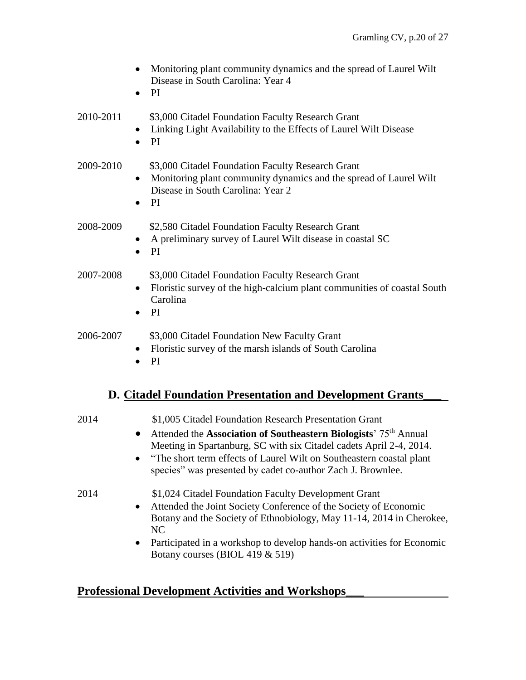- Monitoring plant community dynamics and the spread of Laurel Wilt Disease in South Carolina: Year 4
- PI

2010-2011 \$3,000 Citadel Foundation Faculty Research Grant

- Linking Light Availability to the Effects of Laurel Wilt Disease
- PI

#### 2009-2010 \$3,000 Citadel Foundation Faculty Research Grant

- Monitoring plant community dynamics and the spread of Laurel Wilt Disease in South Carolina: Year 2
- PI

#### 2008-2009 \$2,580 Citadel Foundation Faculty Research Grant

- A preliminary survey of Laurel Wilt disease in coastal SC
- PI

#### 2007-2008 \$3,000 Citadel Foundation Faculty Research Grant

- Floristic survey of the high-calcium plant communities of coastal South Carolina
- PI

#### 2006-2007 \$3,000 Citadel Foundation New Faculty Grant

- Floristic survey of the marsh islands of South Carolina
- PI

### **D. Citadel Foundation Presentation and Development Grants\_\_\_**

#### 2014 \$1,005 Citadel Foundation Research Presentation Grant

- Attended the **Association of Southeastern Biologists**<sup>75th</sup> Annual Meeting in Spartanburg, SC with six Citadel cadets April 2-4, 2014.
- "The short term effects of Laurel Wilt on Southeastern coastal plant species" was presented by cadet co-author Zach J. Brownlee.

#### 2014 \$1,024 Citadel Foundation Faculty Development Grant

- Attended the Joint Society Conference of the Society of Economic Botany and the Society of Ethnobiology, May 11-14, 2014 in Cherokee, NC
- Participated in a workshop to develop hands-on activities for Economic Botany courses (BIOL 419 & 519)

## **Professional Development Activities and Workshops\_\_\_**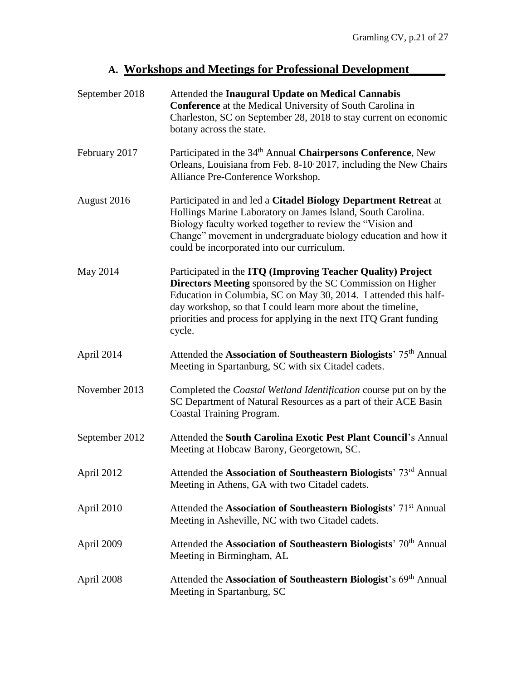# **A. Workshops and Meetings for Professional Development\_\_\_\_\_\_**

| September 2018 | Attended the Inaugural Update on Medical Cannabis<br><b>Conference</b> at the Medical University of South Carolina in<br>Charleston, SC on September 28, 2018 to stay current on economic<br>botany across the state.                                                                                                                               |
|----------------|-----------------------------------------------------------------------------------------------------------------------------------------------------------------------------------------------------------------------------------------------------------------------------------------------------------------------------------------------------|
| February 2017  | Participated in the 34 <sup>th</sup> Annual Chairpersons Conference, New<br>Orleans, Louisiana from Feb. 8-10 2017, including the New Chairs<br>Alliance Pre-Conference Workshop.                                                                                                                                                                   |
| August 2016    | Participated in and led a Citadel Biology Department Retreat at<br>Hollings Marine Laboratory on James Island, South Carolina.<br>Biology faculty worked together to review the "Vision and<br>Change" movement in undergraduate biology education and how it<br>could be incorporated into our curriculum.                                         |
| May 2014       | Participated in the ITQ (Improving Teacher Quality) Project<br><b>Directors Meeting</b> sponsored by the SC Commission on Higher<br>Education in Columbia, SC on May 30, 2014. I attended this half-<br>day workshop, so that I could learn more about the timeline,<br>priorities and process for applying in the next ITQ Grant funding<br>cycle. |
| April 2014     | Attended the Association of Southeastern Biologists' 75 <sup>th</sup> Annual<br>Meeting in Spartanburg, SC with six Citadel cadets.                                                                                                                                                                                                                 |
| November 2013  | Completed the Coastal Wetland Identification course put on by the<br>SC Department of Natural Resources as a part of their ACE Basin<br>Coastal Training Program.                                                                                                                                                                                   |
| September 2012 | Attended the South Carolina Exotic Pest Plant Council's Annual<br>Meeting at Hobcaw Barony, Georgetown, SC.                                                                                                                                                                                                                                         |
| April 2012     | Attended the Association of Southeastern Biologists' 73rd Annual<br>Meeting in Athens, GA with two Citadel cadets.                                                                                                                                                                                                                                  |
| April 2010     | Attended the Association of Southeastern Biologists' 71 <sup>st</sup> Annual<br>Meeting in Asheville, NC with two Citadel cadets.                                                                                                                                                                                                                   |
| April 2009     | Attended the Association of Southeastern Biologists' 70 <sup>th</sup> Annual<br>Meeting in Birmingham, AL                                                                                                                                                                                                                                           |
| April 2008     | Attended the Association of Southeastern Biologist's 69 <sup>th</sup> Annual<br>Meeting in Spartanburg, SC                                                                                                                                                                                                                                          |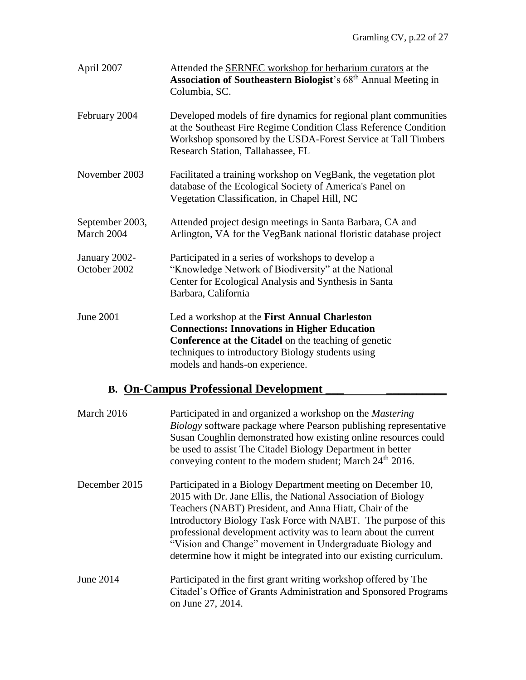| April 2007                                   | Attended the <b>SERNEC</b> workshop for herbarium curators at the<br><b>Association of Southeastern Biologist's 68th Annual Meeting in</b><br>Columbia, SC.                                                                                          |  |
|----------------------------------------------|------------------------------------------------------------------------------------------------------------------------------------------------------------------------------------------------------------------------------------------------------|--|
| February 2004                                | Developed models of fire dynamics for regional plant communities<br>at the Southeast Fire Regime Condition Class Reference Condition<br>Workshop sponsored by the USDA-Forest Service at Tall Timbers<br>Research Station, Tallahassee, FL           |  |
| November 2003                                | Facilitated a training workshop on VegBank, the vegetation plot<br>database of the Ecological Society of America's Panel on<br>Vegetation Classification, in Chapel Hill, NC                                                                         |  |
| September 2003,<br>March 2004                | Attended project design meetings in Santa Barbara, CA and<br>Arlington, VA for the VegBank national floristic database project                                                                                                                       |  |
| January 2002-<br>October 2002                | Participated in a series of workshops to develop a<br>"Knowledge Network of Biodiversity" at the National<br>Center for Ecological Analysis and Synthesis in Santa<br>Barbara, California                                                            |  |
| <b>June 2001</b>                             | Led a workshop at the First Annual Charleston<br><b>Connections: Innovations in Higher Education</b><br>Conference at the Citadel on the teaching of genetic<br>techniques to introductory Biology students using<br>models and hands-on experience. |  |
| <b>B. On-Campus Professional Development</b> |                                                                                                                                                                                                                                                      |  |

| March 2016    | Participated in and organized a workshop on the <i>Mastering</i><br><i>Biology</i> software package where Pearson publishing representative<br>Susan Coughlin demonstrated how existing online resources could<br>be used to assist The Citadel Biology Department in better<br>conveying content to the modern student; March 24 <sup>th</sup> 2016.                                                                                                             |
|---------------|-------------------------------------------------------------------------------------------------------------------------------------------------------------------------------------------------------------------------------------------------------------------------------------------------------------------------------------------------------------------------------------------------------------------------------------------------------------------|
| December 2015 | Participated in a Biology Department meeting on December 10,<br>2015 with Dr. Jane Ellis, the National Association of Biology<br>Teachers (NABT) President, and Anna Hiatt, Chair of the<br>Introductory Biology Task Force with NABT. The purpose of this<br>professional development activity was to learn about the current<br>"Vision and Change" movement in Undergraduate Biology and<br>determine how it might be integrated into our existing curriculum. |
| June 2014     | Participated in the first grant writing workshop offered by The<br>Citadel's Office of Grants Administration and Sponsored Programs<br>on June 27, 2014.                                                                                                                                                                                                                                                                                                          |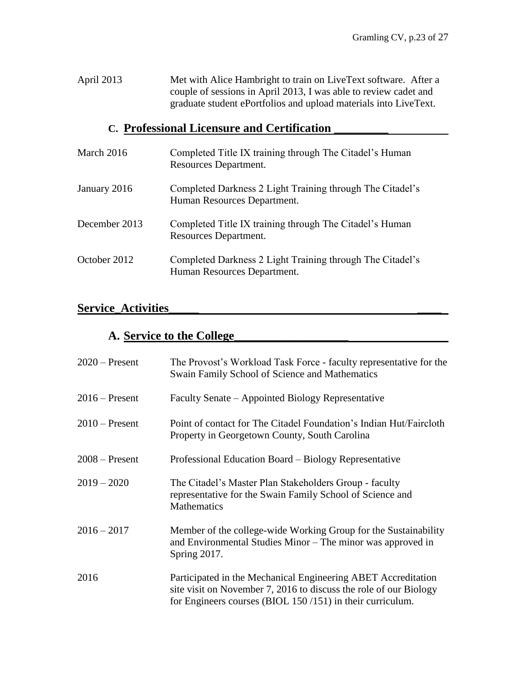April 2013 Met with Alice Hambright to train on LiveText software. After a couple of sessions in April 2013, I was able to review cadet and graduate student ePortfolios and upload materials into LiveText.

### **C. Professional Licensure and Certification \_\_\_\_\_\_\_\_\_**

| March 2016    | Completed Title IX training through The Citadel's Human<br>Resources Department.         |
|---------------|------------------------------------------------------------------------------------------|
| January 2016  | Completed Darkness 2 Light Training through The Citadel's<br>Human Resources Department. |
| December 2013 | Completed Title IX training through The Citadel's Human<br>Resources Department.         |
| October 2012  | Completed Darkness 2 Light Training through The Citadel's<br>Human Resources Department. |

## **Service\_Activities\_\_\_\_\_ \_\_\_\_**

### **A. Service to the College\_\_\_\_\_\_\_\_\_\_\_\_\_\_\_\_\_\_\_**

| $2020$ – Present | The Provost's Workload Task Force - faculty representative for the<br>Swain Family School of Science and Mathematics                                                                               |
|------------------|----------------------------------------------------------------------------------------------------------------------------------------------------------------------------------------------------|
| $2016$ – Present | Faculty Senate – Appointed Biology Representative                                                                                                                                                  |
| $2010$ – Present | Point of contact for The Citadel Foundation's Indian Hut/Faircloth<br>Property in Georgetown County, South Carolina                                                                                |
| $2008 -$ Present | Professional Education Board - Biology Representative                                                                                                                                              |
| $2019 - 2020$    | The Citadel's Master Plan Stakeholders Group - faculty<br>representative for the Swain Family School of Science and<br><b>Mathematics</b>                                                          |
| $2016 - 2017$    | Member of the college-wide Working Group for the Sustainability<br>and Environmental Studies Minor – The minor was approved in<br>Spring 2017.                                                     |
| 2016             | Participated in the Mechanical Engineering ABET Accreditation<br>site visit on November 7, 2016 to discuss the role of our Biology<br>for Engineers courses (BIOL $150/151$ ) in their curriculum. |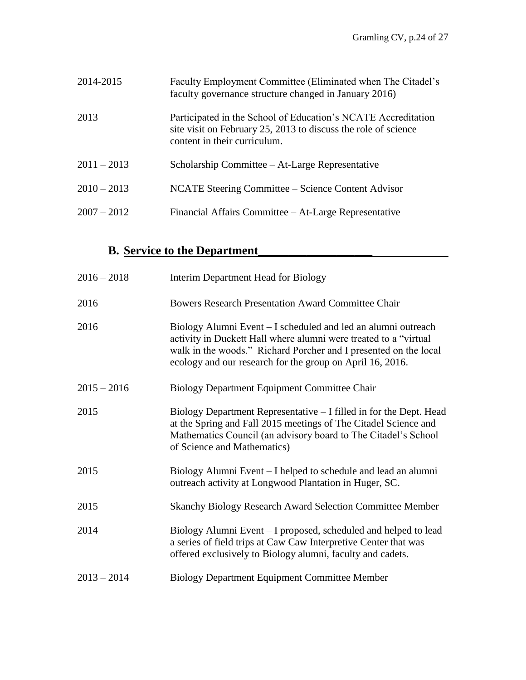| 2014-2015     | Faculty Employment Committee (Eliminated when The Citadel's<br>faculty governance structure changed in January 2016)                                            |
|---------------|-----------------------------------------------------------------------------------------------------------------------------------------------------------------|
| 2013          | Participated in the School of Education's NCATE Accreditation<br>site visit on February 25, 2013 to discuss the role of science<br>content in their curriculum. |
| $2011 - 2013$ | Scholarship Committee – At-Large Representative                                                                                                                 |
| $2010 - 2013$ | NCATE Steering Committee – Science Content Advisor                                                                                                              |
| $2007 - 2012$ | Financial Affairs Committee – At-Large Representative                                                                                                           |

# **B. Service to the Department\_\_\_\_\_\_\_\_\_\_\_\_\_\_\_\_\_\_\_**

| $2016 - 2018$ | Interim Department Head for Biology                                                                                                                                                                                                                                |
|---------------|--------------------------------------------------------------------------------------------------------------------------------------------------------------------------------------------------------------------------------------------------------------------|
| 2016          | <b>Bowers Research Presentation Award Committee Chair</b>                                                                                                                                                                                                          |
| 2016          | Biology Alumni Event – I scheduled and led an alumni outreach<br>activity in Duckett Hall where alumni were treated to a "virtual<br>walk in the woods." Richard Porcher and I presented on the local<br>ecology and our research for the group on April 16, 2016. |
| $2015 - 2016$ | Biology Department Equipment Committee Chair                                                                                                                                                                                                                       |
| 2015          | Biology Department Representative – I filled in for the Dept. Head<br>at the Spring and Fall 2015 meetings of The Citadel Science and<br>Mathematics Council (an advisory board to The Citadel's School<br>of Science and Mathematics)                             |
| 2015          | Biology Alumni Event – I helped to schedule and lead an alumni<br>outreach activity at Longwood Plantation in Huger, SC.                                                                                                                                           |
| 2015          | <b>Skanchy Biology Research Award Selection Committee Member</b>                                                                                                                                                                                                   |
| 2014          | Biology Alumni Event - I proposed, scheduled and helped to lead<br>a series of field trips at Caw Caw Interpretive Center that was<br>offered exclusively to Biology alumni, faculty and cadets.                                                                   |
| $2013 - 2014$ | <b>Biology Department Equipment Committee Member</b>                                                                                                                                                                                                               |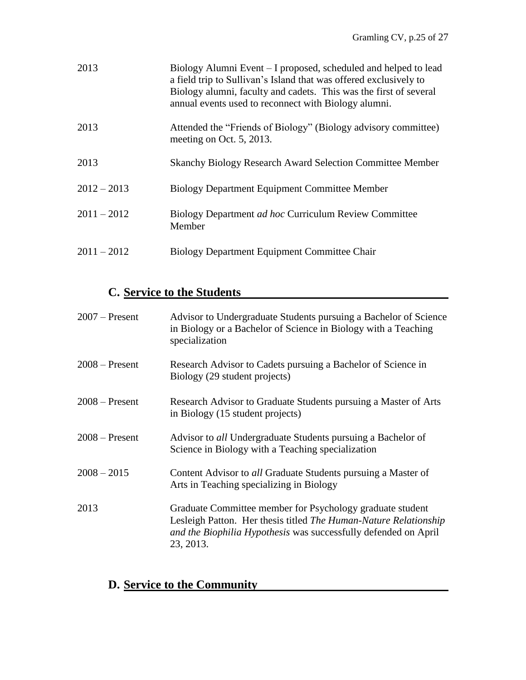| 2013          | Biology Alumni Event – I proposed, scheduled and helped to lead<br>a field trip to Sullivan's Island that was offered exclusively to<br>Biology alumni, faculty and cadets. This was the first of several<br>annual events used to reconnect with Biology alumni. |
|---------------|-------------------------------------------------------------------------------------------------------------------------------------------------------------------------------------------------------------------------------------------------------------------|
| 2013          | Attended the "Friends of Biology" (Biology advisory committee)<br>meeting on Oct. 5, 2013.                                                                                                                                                                        |
| 2013          | <b>Skanchy Biology Research Award Selection Committee Member</b>                                                                                                                                                                                                  |
| $2012 - 2013$ | Biology Department Equipment Committee Member                                                                                                                                                                                                                     |
| $2011 - 2012$ | Biology Department <i>ad hoc</i> Curriculum Review Committee<br>Member                                                                                                                                                                                            |
| $2011 - 2012$ | Biology Department Equipment Committee Chair                                                                                                                                                                                                                      |

# **C. Service to the Students**

| $2007$ – Present | Advisor to Undergraduate Students pursuing a Bachelor of Science<br>in Biology or a Bachelor of Science in Biology with a Teaching<br>specialization                                                          |
|------------------|---------------------------------------------------------------------------------------------------------------------------------------------------------------------------------------------------------------|
| $2008 -$ Present | Research Advisor to Cadets pursuing a Bachelor of Science in<br>Biology (29 student projects)                                                                                                                 |
| $2008 -$ Present | Research Advisor to Graduate Students pursuing a Master of Arts<br>in Biology (15 student projects)                                                                                                           |
| $2008 -$ Present | Advisor to all Undergraduate Students pursuing a Bachelor of<br>Science in Biology with a Teaching specialization                                                                                             |
| $2008 - 2015$    | Content Advisor to all Graduate Students pursuing a Master of<br>Arts in Teaching specializing in Biology                                                                                                     |
| 2013             | Graduate Committee member for Psychology graduate student<br>Lesleigh Patton. Her thesis titled The Human-Nature Relationship<br>and the Biophilia Hypothesis was successfully defended on April<br>23, 2013. |

# **D. Service to the Community**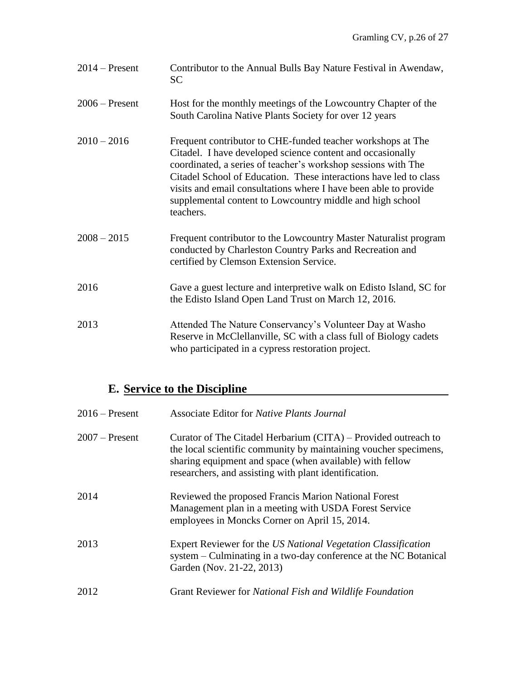| $2014$ – Present | Contributor to the Annual Bulls Bay Nature Festival in Awendaw,<br><b>SC</b>                                                                                                                                                                                                                                                                                                                                  |
|------------------|---------------------------------------------------------------------------------------------------------------------------------------------------------------------------------------------------------------------------------------------------------------------------------------------------------------------------------------------------------------------------------------------------------------|
| $2006$ – Present | Host for the monthly meetings of the Lowcountry Chapter of the<br>South Carolina Native Plants Society for over 12 years                                                                                                                                                                                                                                                                                      |
| $2010 - 2016$    | Frequent contributor to CHE-funded teacher workshops at The<br>Citadel. I have developed science content and occasionally<br>coordinated, a series of teacher's workshop sessions with The<br>Citadel School of Education. These interactions have led to class<br>visits and email consultations where I have been able to provide<br>supplemental content to Lowcountry middle and high school<br>teachers. |
| $2008 - 2015$    | Frequent contributor to the Lowcountry Master Naturalist program<br>conducted by Charleston Country Parks and Recreation and<br>certified by Clemson Extension Service.                                                                                                                                                                                                                                       |
| 2016             | Gave a guest lecture and interpretive walk on Edisto Island, SC for<br>the Edisto Island Open Land Trust on March 12, 2016.                                                                                                                                                                                                                                                                                   |
| 2013             | Attended The Nature Conservancy's Volunteer Day at Washo<br>Reserve in McClellanville, SC with a class full of Biology cadets<br>who participated in a cypress restoration project.                                                                                                                                                                                                                           |

# **E. Service to the Discipline**

| $2016$ – Present | <b>Associate Editor for <i>Native Plants Journal</i></b>                                                                                                                                                                                                |
|------------------|---------------------------------------------------------------------------------------------------------------------------------------------------------------------------------------------------------------------------------------------------------|
| $2007$ – Present | Curator of The Citadel Herbarium (CITA) – Provided outreach to<br>the local scientific community by maintaining voucher specimens,<br>sharing equipment and space (when available) with fellow<br>researchers, and assisting with plant identification. |
| 2014             | Reviewed the proposed Francis Marion National Forest<br>Management plan in a meeting with USDA Forest Service<br>employees in Moncks Corner on April 15, 2014.                                                                                          |
| 2013             | Expert Reviewer for the US National Vegetation Classification<br>system – Culminating in a two-day conference at the NC Botanical<br>Garden (Nov. 21-22, 2013)                                                                                          |
| 2012             | Grant Reviewer for National Fish and Wildlife Foundation                                                                                                                                                                                                |